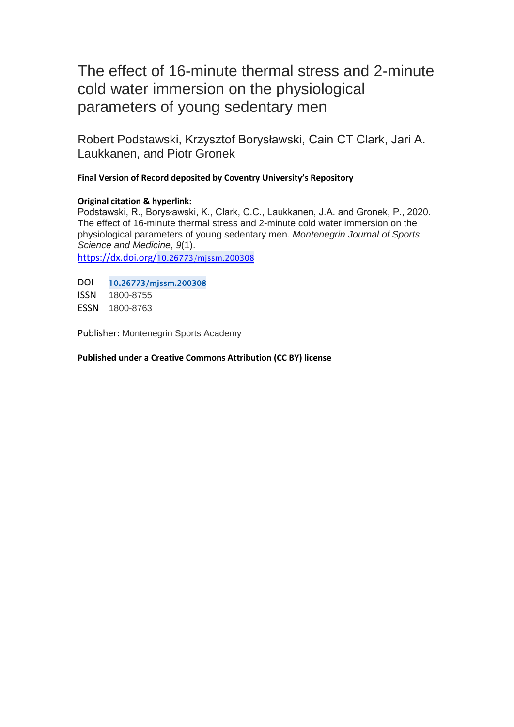## The effect of 16-minute thermal stress and 2-minute cold water immersion on the physiological parameters of young sedentary men

Robert Podstawski, Krzysztof Borysławski, Cain CT Clark, Jari A. Laukkanen, and Piotr Gronek

## **Final Version of Record deposited by Coventry University's Repository**

### **Original citation & hyperlink:**

Podstawski, R., Borysławski, K., Clark, C.C., Laukkanen, J.A. and Gronek, P., 2020. The effect of 16-minute thermal stress and 2-minute cold water immersion on the physiological parameters of young sedentary men. *Montenegrin Journal of Sports Science and Medicine*, *9*(1). [https://dx.doi.org/](https://dx.doi.org/10.26773/mjssm.200308)10.26773/mjssm.200308

DOI 10.26773/mjssm.200308 ISSN 1800-8755 ESSN 1800-8763

Publisher: Montenegrin Sports Academy

**Published under a Creative Commons Attribution (CC BY) license**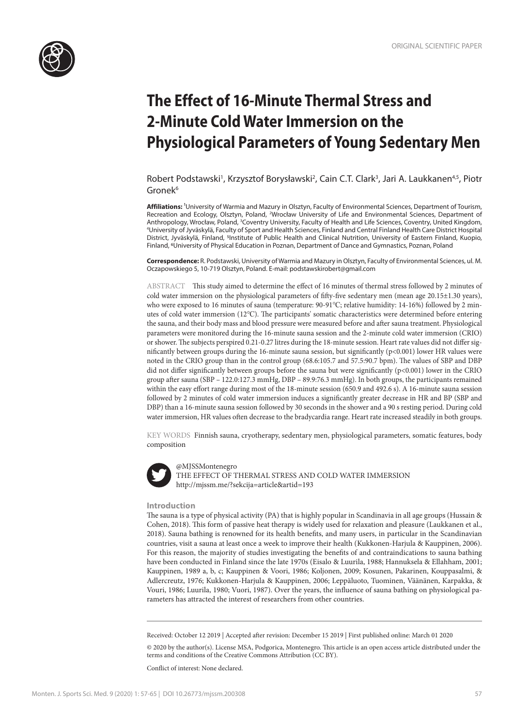

# **The Effect of 16-Minute Thermal Stress and 2-Minute Cold Water Immersion on the Physiological Parameters of Young Sedentary Men**

Robert Podstawski<sup>1</sup>, Krzysztof Borysławski<sup>2</sup>, Cain C.T. Clark<sup>3</sup>, Jari A. Laukkanen<sup>4,5</sup>, Piotr Gronek<sup>6</sup>

**Affiliations:** 1University of Warmia and Mazury in Olsztyn, Faculty of Environmental Sciences, Department of Tourism, Recreation and Ecology, Olsztyn, Poland, <sup>2</sup>Wrocław University of Life and Environmental Sciences, Department of Anthropology, Wrocław, Poland, <sup>3</sup>Coventry University, Faculty of Health and Life Sciences, Coventry, United Kingdom,<br><sup>4</sup> Iniversity of Iwäskylä, Faculty of Sport and Health Sciences, Finland and Central Finland Health Car University of Jyväskylä, Faculty of Sport and Health Sciences, Finland and Central Finland Health Care District Hospital District, Jyväskylä, Finland, 5Institute of Public Health and Clinical Nutrition, University of Eastern Finland, Kuopio, Finland, <sup>6</sup>University of Physical Education in Poznan, Department of Dance and Gymnastics, Poznan, Poland

**Correspondence:** R. Podstawski, University of Warmia and Mazury in Olsztyn, Faculty of Environmental Sciences, ul. M. Oczapowskiego 5, 10-719 Olsztyn, Poland. E-mail: podstawskirobert@gmail.com

ABSTRACT This study aimed to determine the effect of 16 minutes of thermal stress followed by 2 minutes of cold water immersion on the physiological parameters of fifty-five sedentary men (mean age 20.15±1.30 years), who were exposed to 16 minutes of sauna (temperature: 90-91℃; relative humidity: 14-16%) followed by 2 minutes of cold water immersion (12℃). The participants' somatic characteristics were determined before entering the sauna, and their body mass and blood pressure were measured before and after sauna treatment. Physiological parameters were monitored during the 16-minute sauna session and the 2-minute cold water immersion (CRIO) or shower. The subjects perspired 0.21-0.27 litres during the 18-minute session. Heart rate values did not differ significantly between groups during the 16-minute sauna session, but significantly (p<0.001) lower HR values were noted in the CRIO group than in the control group (68.6:105.7 and 57.5:90.7 bpm). The values of SBP and DBP did not differ significantly between groups before the sauna but were significantly (p<0.001) lower in the CRIO group after sauna (SBP – 122.0:127.3 mmHg, DBP – 89.9:76.3 mmHg). In both groups, the participants remained within the easy effort range during most of the 18-minute session (650.9 and 492.6 s). A 16-minute sauna session followed by 2 minutes of cold water immersion induces a significantly greater decrease in HR and BP (SBP and DBP) than a 16-minute sauna session followed by 30 seconds in the shower and a 90 s resting period. During cold water immersion, HR values often decrease to the bradycardia range. Heart rate increased steadily in both groups.

KEY WORDS Finnish sauna, cryotherapy, sedentary men, physiological parameters, somatic features, body composition



@MJSSMontenegro THE EFFECT OF THERMAL STRESS AND COLD WATER IMMERSION http://mjssm.me/?sekcija=article&artid=193

#### **Introduction**

The sauna is a type of physical activity (PA) that is highly popular in Scandinavia in all age groups (Hussain & Cohen, 2018). This form of passive heat therapy is widely used for relaxation and pleasure (Laukkanen et al., 2018). Sauna bathing is renowned for its health benefits, and many users, in particular in the Scandinavian countries, visit a sauna at least once a week to improve their health (Kukkonen-Harjula & Kauppinen, 2006). For this reason, the majority of studies investigating the benefits of and contraindications to sauna bathing have been conducted in Finland since the late 1970s (Eisalo & Luurila, 1988; Hannuksela & Ellahham, 2001; Kauppinen, 1989 a, b, c; Kauppinen & Voori, 1986; Koljonen, 2009; Kosunen, Pakarinen, Kouppasalmi, & Adlercreutz, 1976; Kukkonen-Harjula & Kauppinen, 2006; Leppäluoto, Tuominen, Väänänen, Karpakka, & Vouri, 1986; Luurila, 1980; Vuori, 1987). Over the years, the influence of sauna bathing on physiological parameters has attracted the interest of researchers from other countries.

Received: October 12 2019 | Accepted after revision: December 15 2019 | First published online: March 01 2020

© 2020 by the author(s). License MSA, Podgorica, Montenegro. This article is an open access article distributed under the terms and conditions of the Creative Commons Attribution (CC BY).

Conflict of interest: None declared.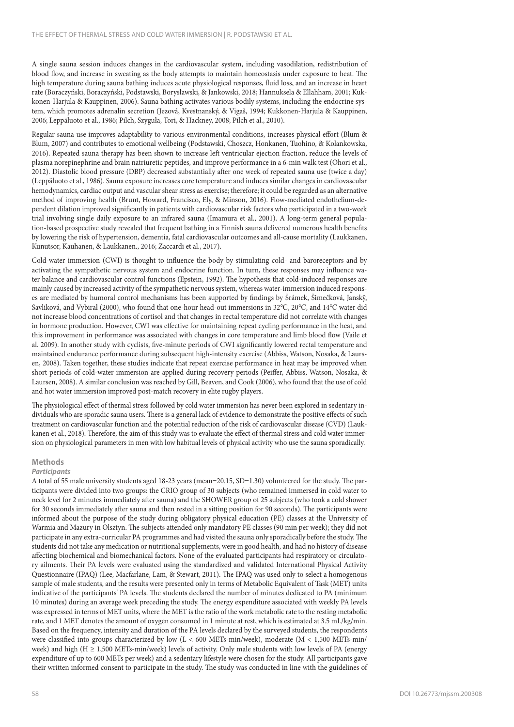A single sauna session induces changes in the cardiovascular system, including vasodilation, redistribution of blood flow, and increase in sweating as the body attempts to maintain homeostasis under exposure to heat. The high temperature during sauna bathing induces acute physiological responses, fluid loss, and an increase in heart rate (Boraczyński, Boraczyński, Podstawski, Borysławski, & Jankowski, 2018; Hannuksela & Ellahham, 2001; Kukkonen-Harjula & Kauppinen, 2006). Sauna bathing activates various bodily systems, including the endocrine system, which promotes adrenalin secretion (Jezová, Kvestnanský, & Vigaš, 1994; Kukkonen-Harjula & Kauppinen, 2006; Leppäluoto et al., 1986; Pilch, Szyguła, Tori, & Hackney, 2008; Pilch et al., 2010).

Regular sauna use improves adaptability to various environmental conditions, increases physical effort (Blum & Blum, 2007) and contributes to emotional wellbeing (Podstawski, Choszcz, Honkanen, Tuohino, & Kolankowska, 2016). Repeated sauna therapy has been shown to increase left ventricular ejection fraction, reduce the levels of plasma norepinephrine and brain natriuretic peptides, and improve performance in a 6-min walk test (Ohori et al., 2012). Diastolic blood pressure (DBP) decreased substantially after one week of repeated sauna use (twice a day) (Leppäluoto et al., 1986). Sauna exposure increases core temperature and induces similar changes in cardiovascular hemodynamics, cardiac output and vascular shear stress as exercise; therefore; it could be regarded as an alternative method of improving health (Brunt, Howard, Francisco, Ely, & Minson, 2016). Flow-mediated endothelium-dependent dilation improved significantly in patients with cardiovascular risk factors who participated in a two-week trial involving single daily exposure to an infrared sauna (Imamura et al., 2001). A long-term general population-based prospective study revealed that frequent bathing in a Finnish sauna delivered numerous health benefits by lowering the risk of hypertension, dementia, fatal cardiovascular outcomes and all-cause mortality (Laukkanen, Kunutsor, Kauhanen, & Laukkanen., 2016; Zaccardi et al., 2017).

Cold-water immersion (CWI) is thought to influence the body by stimulating cold- and baroreceptors and by activating the sympathetic nervous system and endocrine function. In turn, these responses may influence water balance and cardiovascular control functions (Epstein, 1992). The hypothesis that cold-induced responses are mainly caused by increased activity of the sympathetic nervous system, whereas water-immersion induced responses are mediated by humoral control mechanisms has been supported by findings by Šrámek, Šimečková, Janský, Savliková, and Vybiral (2000), who found that one-hour head-out immersions in 32℃, 20℃, and 14℃ water did not increase blood concentrations of cortisol and that changes in rectal temperature did not correlate with changes in hormone production. However, CWI was effective for maintaining repeat cycling performance in the heat, and this improvement in performance was associated with changes in core temperature and limb blood flow (Vaile et al. 2009). In another study with cyclists, five-minute periods of CWI significantly lowered rectal temperature and maintained endurance performance during subsequent high-intensity exercise (Abbiss, Watson, Nosaka, & Laursen, 2008). Taken together, these studies indicate that repeat exercise performance in heat may be improved when short periods of cold-water immersion are applied during recovery periods (Peiffer, Abbiss, Watson, Nosaka, & Laursen, 2008). A similar conclusion was reached by Gill, Beaven, and Cook (2006), who found that the use of cold and hot water immersion improved post-match recovery in elite rugby players.

The physiological effect of thermal stress followed by cold water immersion has never been explored in sedentary individuals who are sporadic sauna users. There is a general lack of evidence to demonstrate the positive effects of such treatment on cardiovascular function and the potential reduction of the risk of cardiovascular disease (CVD) (Laukkanen et al., 2018). Therefore, the aim of this study was to evaluate the effect of thermal stress and cold water immersion on physiological parameters in men with low habitual levels of physical activity who use the sauna sporadically.

#### **Methods**

#### *Participants*

A total of 55 male university students aged 18-23 years (mean=20.15, SD=1.30) volunteered for the study. The participants were divided into two groups: the CRIO group of 30 subjects (who remained immersed in cold water to neck level for 2 minutes immediately after sauna) and the SHOWER group of 25 subjects (who took a cold shower for 30 seconds immediately after sauna and then rested in a sitting position for 90 seconds). The participants were informed about the purpose of the study during obligatory physical education (PE) classes at the University of Warmia and Mazury in Olsztyn. The subjects attended only mandatory PE classes (90 min per week); they did not participate in any extra-curricular PA programmes and had visited the sauna only sporadically before the study. The students did not take any medication or nutritional supplements, were in good health, and had no history of disease affecting biochemical and biomechanical factors. None of the evaluated participants had respiratory or circulatory ailments. Their PA levels were evaluated using the standardized and validated International Physical Activity Questionnaire (IPAQ) (Lee, Macfarlane, Lam, & Stewart, 2011). The IPAQ was used only to select a homogenous sample of male students, and the results were presented only in terms of Metabolic Equivalent of Task (MET) units indicative of the participants' PA levels. The students declared the number of minutes dedicated to PA (minimum 10 minutes) during an average week preceding the study. The energy expenditure associated with weekly PA levels was expressed in terms of MET units, where the MET is the ratio of the work metabolic rate to the resting metabolic rate, and 1 MET denotes the amount of oxygen consumed in 1 minute at rest, which is estimated at 3.5 mL/kg/min. Based on the frequency, intensity and duration of the PA levels declared by the surveyed students, the respondents were classified into groups characterized by low  $(L < 600$  METs-min/week), moderate  $(M < 1,500$  METs-min/ week) and high ( $H \ge 1,500$  METs-min/week) levels of activity. Only male students with low levels of PA (energy expenditure of up to 600 METs per week) and a sedentary lifestyle were chosen for the study. All participants gave their written informed consent to participate in the study. The study was conducted in line with the guidelines of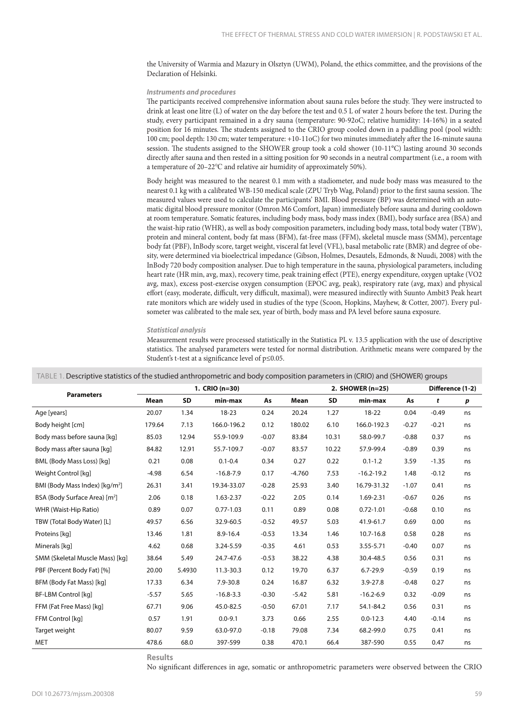the University of Warmia and Mazury in Olsztyn (UWM), Poland, the ethics committee, and the provisions of the Declaration of Helsinki.

#### *Instruments and procedures*

The participants received comprehensive information about sauna rules before the study. They were instructed to drink at least one litre (L) of water on the day before the test and 0.5 L of water 2 hours before the test. During the study, every participant remained in a dry sauna (temperature: 90-92oC; relative humidity: 14-16%) in a seated position for 16 minutes. The students assigned to the CRIO group cooled down in a paddling pool (pool width: 100 cm; pool depth: 130 cm; water temperature: +10-11oC) for two minutes immediately after the 16-minute sauna session. The students assigned to the SHOWER group took a cold shower (10-11°C) lasting around 30 seconds directly after sauna and then rested in a sitting position for 90 seconds in a neutral compartment (i.e., a room with a temperature of 20–22℃ and relative air humidity of approximately 50%).

Body height was measured to the nearest 0.1 mm with a stadiometer, and nude body mass was measured to the nearest 0.1 kg with a calibrated WB-150 medical scale (ZPU Tryb Wag, Poland) prior to the first sauna session. The measured values were used to calculate the participants' BMI. Blood pressure (BP) was determined with an automatic digital blood pressure monitor (Omron M6 Comfort, Japan) immediately before sauna and during cooldown at room temperature. Somatic features, including body mass, body mass index (BMI), body surface area (BSA) and the waist-hip ratio (WHR), as well as body composition parameters, including body mass, total body water (TBW), protein and mineral content, body fat mass (BFM), fat-free mass (FFM), skeletal muscle mass (SMM), percentage body fat (PBF), InBody score, target weight, visceral fat level (VFL), basal metabolic rate (BMR) and degree of obesity, were determined via bioelectrical impedance (Gibson, Holmes, Desautels, Edmonds, & Nuudi, 2008) with the InBody 720 body composition analyser. Due to high temperature in the sauna, physiological parameters, including heart rate (HR min, avg, max), recovery time, peak training effect (PTE), energy expenditure, oxygen uptake (VO2 avg, max), excess post-exercise oxygen consumption (EPOC avg, peak), respiratory rate (avg, max) and physical effort (easy, moderate, difficult, very difficult, maximal), were measured indirectly with Suunto Ambit3 Peak heart rate monitors which are widely used in studies of the type (Scoon, Hopkins, Mayhew, & Cotter, 2007). Every pulsometer was calibrated to the male sex, year of birth, body mass and PA level before sauna exposure.

#### *Statistical analysis*

Measurement results were processed statistically in the Statistica PL v. 13.5 application with the use of descriptive statistics. The analysed parameters were tested for normal distribution. Arithmetic means were compared by the Student's t-test at a significance level of p≤0.05.

|                                            | 1. CRIO (n=30) |           |               |         |          |       | 2. SHOWER (n=25) | Difference (1-2) |         |                  |
|--------------------------------------------|----------------|-----------|---------------|---------|----------|-------|------------------|------------------|---------|------------------|
| <b>Parameters</b>                          | Mean           | <b>SD</b> | min-max       | As      | Mean     | SD    | min-max          | As               | t       | $\boldsymbol{p}$ |
| Age [years]                                | 20.07          | 1.34      | $18 - 23$     | 0.24    | 20.24    | 1.27  | 18-22            | 0.04             | $-0.49$ | ns               |
| Body height [cm]                           | 179.64         | 7.13      | 166.0-196.2   | 0.12    | 180.02   | 6.10  | 166.0-192.3      | $-0.27$          | $-0.21$ | ns               |
| Body mass before sauna [kg]                | 85.03          | 12.94     | 55.9-109.9    | $-0.07$ | 83.84    | 10.31 | 58.0-99.7        | $-0.88$          | 0.37    | ns               |
| Body mass after sauna [kg]                 | 84.82          | 12.91     | 55.7-109.7    | $-0.07$ | 83.57    | 10.22 | 57.9-99.4        | $-0.89$          | 0.39    | ns               |
| BML (Body Mass Loss) [kg]                  | 0.21           | 0.08      | $0.1 - 0.4$   | 0.34    | 0.27     | 0.22  | $0.1 - 1.2$      | 3.59             | $-1.35$ | ns               |
| Weight Control [kg]                        | $-4.98$        | 6.54      | $-16.8 - 7.9$ | 0.17    | $-4.760$ | 7.53  | $-16.2 - 19.2$   | 1.48             | $-0.12$ | ns               |
| BMI (Body Mass Index) [kg/m <sup>2</sup> ] | 26.31          | 3.41      | 19.34-33.07   | $-0.28$ | 25.93    | 3.40  | 16.79-31.32      | $-1.07$          | 0.41    | ns               |
| BSA (Body Surface Area) [m <sup>2</sup> ]  | 2.06           | 0.18      | 1.63-2.37     | $-0.22$ | 2.05     | 0.14  | 1.69-2.31        | $-0.67$          | 0.26    | ns               |
| WHR (Waist-Hip Ratio)                      | 0.89           | 0.07      | $0.77 - 1.03$ | 0.11    | 0.89     | 0.08  | $0.72 - 1.01$    | $-0.68$          | 0.10    | ns               |
| TBW (Total Body Water) [L]                 | 49.57          | 6.56      | 32.9-60.5     | $-0.52$ | 49.57    | 5.03  | 41.9-61.7        | 0.69             | 0.00    | ns               |
| Proteins [kg]                              | 13.46          | 1.81      | 8.9-16.4      | $-0.53$ | 13.34    | 1.46  | 10.7-16.8        | 0.58             | 0.28    | ns               |
| Minerals [kq]                              | 4.62           | 0.68      | 3.24-5.59     | $-0.35$ | 4.61     | 0.53  | 3.55-5.71        | $-0.40$          | 0.07    | ns               |
| SMM (Skeletal Muscle Mass) [kg]            | 38.64          | 5.49      | 24.7-47.6     | $-0.53$ | 38.22    | 4.38  | 30.4-48.5        | 0.56             | 0.31    | ns               |
| PBF (Percent Body Fat) [%]                 | 20.00          | 5.4930    | 11.3-30.3     | 0.12    | 19.70    | 6.37  | $6.7 - 29.9$     | $-0.59$          | 0.19    | ns               |
| BFM (Body Fat Mass) [kg]                   | 17.33          | 6.34      | 7.9-30.8      | 0.24    | 16.87    | 6.32  | $3.9 - 27.8$     | $-0.48$          | 0.27    | ns               |
| BF-LBM Control [kg]                        | $-5.57$        | 5.65      | $-16.8-3.3$   | $-0.30$ | $-5.42$  | 5.81  | $-16.2 - 6.9$    | 0.32             | $-0.09$ | ns               |
| FFM (Fat Free Mass) [kg]                   | 67.71          | 9.06      | 45.0-82.5     | $-0.50$ | 67.01    | 7.17  | 54.1-84.2        | 0.56             | 0.31    | ns               |
| FFM Control [kq]                           | 0.57           | 1.91      | $0.0 - 9.1$   | 3.73    | 0.66     | 2.55  | $0.0 - 12.3$     | 4.40             | $-0.14$ | ns               |
| Target weight                              | 80.07          | 9.59      | 63.0-97.0     | $-0.18$ | 79.08    | 7.34  | 68.2-99.0        | 0.75             | 0.41    | ns               |
| <b>MET</b>                                 | 478.6          | 68.0      | 397-599       | 0.38    | 470.1    | 66.4  | 387-590          | 0.55             | 0.47    | ns               |

TABLE 1. Descriptive statistics of the studied anthropometric and body composition parameters in (CRIO) and (SHOWER) groups

**Results**

No significant differences in age, somatic or anthropometric parameters were observed between the CRIO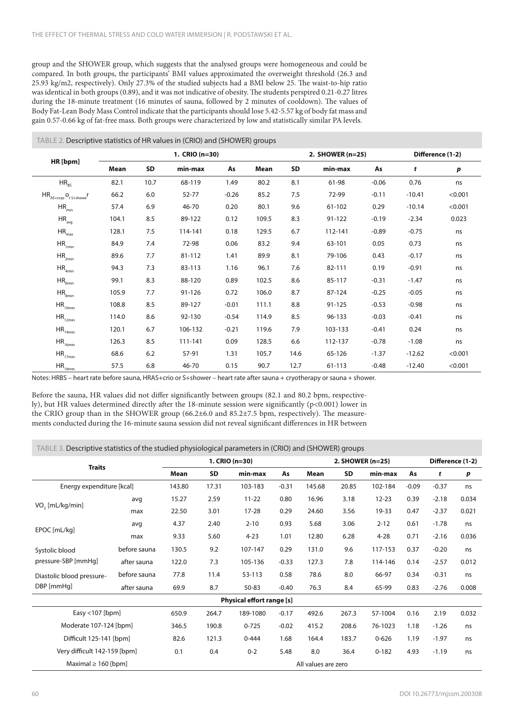group and the SHOWER group, which suggests that the analysed groups were homogeneous and could be compared. In both groups, the participants' BMI values approximated the overweight threshold (26.3 and 25.93 kg/m2, respectively). Only 27.3% of the studied subjects had a BMI below 25. The waist-to-hip ratio was identical in both groups (0.89), and it was not indicative of obesity. The students perspired 0.21-0.27 litres during the 18-minute treatment (16 minutes of sauna, followed by 2 minutes of cooldown). The values of Body Fat-Lean Body Mass Control indicate that the participants should lose 5.42-5.57 kg of body fat mass and gain 0.57-0.66 kg of fat-free mass. Both groups were characterized by low and statistically similar PA levels.

#### TABLE 2. Descriptive statistics of HR values in (CRIO) and (SHOWER) groups

|                                                                                                         | 1. CRIO (n=30) |      |         |         |       |      | 2. SHOWER (n=25) |         | Difference (1-2) |         |
|---------------------------------------------------------------------------------------------------------|----------------|------|---------|---------|-------|------|------------------|---------|------------------|---------|
| HR [bpm]                                                                                                | Mean           | SD   | min-max | As      | Mean  | SD   | min-max          | As      | t                | p       |
| $HR_{RS}$                                                                                               | 82.1           | 10.7 | 68-119  | 1.49    | 80.2  | 8.1  | 61-98            | $-0.06$ | 0.76             | ns      |
| $\mathsf{HR}_{\mathsf{AS}+\mathsf{cryo}}\,\mathsf{o}_{\mathsf{r}\,\mathsf{S}+\mathsf{shome}}\mathsf{r}$ | 66.2           | 6.0  | 52-77   | $-0.26$ | 85.2  | 7.5  | 72-99            | $-0.11$ | $-10.41$         | < 0.001 |
| $HR_{min}$                                                                                              | 57.4           | 6.9  | 46-70   | 0.20    | 80.1  | 9.6  | 61-102           | 0.29    | $-10.14$         | < 0.001 |
| $HR_{avg}$                                                                                              | 104.1          | 8.5  | 89-122  | 0.12    | 109.5 | 8.3  | 91-122           | $-0.19$ | $-2.34$          | 0.023   |
| $\rm HR_{\rm max}$                                                                                      | 128.1          | 7.5  | 114-141 | 0.18    | 129.5 | 6.7  | 112-141          | $-0.89$ | $-0.75$          | ns      |
| $HR_{1min}$                                                                                             | 84.9           | 7.4  | 72-98   | 0.06    | 83.2  | 9.4  | 63-101           | 0.05    | 0.73             | ns      |
| $HR_{2min}$                                                                                             | 89.6           | 7.7  | 81-112  | 1.41    | 89.9  | 8.1  | 79-106           | 0.43    | $-0.17$          | ns      |
| $HR_{4min}$                                                                                             | 94.3           | 7.3  | 83-113  | 1.16    | 96.1  | 7.6  | 82-111           | 0.19    | $-0.91$          | ns      |
| $HR_{6min}$                                                                                             | 99.1           | 8.3  | 88-120  | 0.89    | 102.5 | 8.6  | 85-117           | $-0.31$ | $-1.47$          | ns      |
| $HR_{\text{gmin}}$                                                                                      | 105.9          | 7.7  | 91-126  | 0.72    | 106.0 | 8.7  | 87-124           | $-0.25$ | $-0.05$          | ns      |
| $HR_{10min}$                                                                                            | 108.8          | 8.5  | 89-127  | $-0.01$ | 111.1 | 8.8  | 91-125           | $-0.53$ | $-0.98$          | ns      |
| $\mathsf{HR}_{\mathsf{12min}}$                                                                          | 114.0          | 8.6  | 92-130  | $-0.54$ | 114.9 | 8.5  | 96-133           | $-0.03$ | $-0.41$          | ns      |
| $HR_{14min}$                                                                                            | 120.1          | 6.7  | 106-132 | $-0.21$ | 119.6 | 7.9  | 103-133          | $-0.41$ | 0.24             | ns      |
| $HR_{16min}$                                                                                            | 126.3          | 8.5  | 111-141 | 0.09    | 128.5 | 6.6  | 112-137          | $-0.78$ | $-1.08$          | ns      |
| $HR_{17min}$                                                                                            | 68.6           | 6.2  | 57-91   | 1.31    | 105.7 | 14.6 | 65-126           | $-1.37$ | $-12.62$         | < 0.001 |
| $\mathsf{HR}_{\mathsf{18min}}$                                                                          | 57.5           | 6.8  | 46-70   | 0.15    | 90.7  | 12.7 | 61-113           | $-0.48$ | $-12.40$         | < 0.001 |

Notes: HRBS – heart rate before sauna, HRAS+crio or S+shower – heart rate after sauna + cryotherapy or sauna + shower.

Before the sauna, HR values did not differ significantly between groups (82.1 and 80.2 bpm, respectively), but HR values determined directly after the 18-minute session were significantly (p<0.001) lower in the CRIO group than in the SHOWER group (66.2±6.0 and 85.2±7.5 bpm, respectively). The measurements conducted during the 16-minute sauna session did not reveal significant differences in HR between

#### TABLE 3. Descriptive statistics of the studied physiological parameters in (CRIO) and (SHOWER) groups

| <b>Traits</b>                           |              | 1. $CRIO(n=30)$     |       |                           |         | 2. SHOWER (n=25) |       |           |         | Difference (1-2) |                  |
|-----------------------------------------|--------------|---------------------|-------|---------------------------|---------|------------------|-------|-----------|---------|------------------|------------------|
|                                         |              | Mean                | SD    | min-max                   | As      | Mean             | SD    | min-max   | As      | t                | $\boldsymbol{p}$ |
| Energy expenditure [kcal]               |              | 143.80              | 17.31 | 103-183                   | $-0.31$ | 145.68           | 20.85 | 102-184   | $-0.09$ | $-0.37$          | ns               |
| VO <sub>2</sub> [mL/kg/min]             | avg          | 15.27               | 2.59  | $11 - 22$                 | 0.80    | 16.96            | 3.18  | $12 - 23$ | 0.39    | $-2.18$          | 0.034            |
|                                         | max          | 22.50               | 3.01  | $17 - 28$                 | 0.29    | 24.60            | 3.56  | 19-33     | 0.47    | $-2.37$          | 0.021            |
| EPOC [mL/kg]                            | avg          | 4.37                | 2.40  | $2 - 10$                  | 0.93    | 5.68             | 3.06  | $2 - 12$  | 0.61    | $-1.78$          | ns               |
|                                         | max          | 9.33                | 5.60  | $4 - 23$                  | 1.01    | 12.80            | 6.28  | $4 - 28$  | 0.71    | $-2.16$          | 0.036            |
| Systolic blood                          | before sauna | 130.5               | 9.2   | 107-147                   | 0.29    | 131.0            | 9.6   | 117-153   | 0.37    | $-0.20$          | ns               |
| pressure-SBP [mmHq]                     | after sauna  | 122.0               | 7.3   | 105-136                   | $-0.33$ | 127.3            | 7.8   | 114-146   | 0.14    | $-2.57$          | 0.012            |
| Diastolic blood pressure-<br>DBP [mmHq] | before sauna | 77.8                | 11.4  | 53-113                    | 0.58    | 78.6             | 8.0   | 66-97     | 0.34    | $-0.31$          | ns               |
|                                         | after sauna  | 69.9                | 8.7   | 50-83                     | $-0.40$ | 76.3             | 8.4   | 65-99     | 0.83    | $-2.76$          | 0.008            |
|                                         |              |                     |       | Physical effort range [s] |         |                  |       |           |         |                  |                  |
| Easy <107 [bpm]                         |              | 650.9               | 264.7 | 189-1080                  | $-0.17$ | 492.6            | 267.3 | 57-1004   | 0.16    | 2.19             | 0.032            |
| Moderate 107-124 [bpm]                  |              | 346.5               | 190.8 | $0 - 725$                 | $-0.02$ | 415.2            | 208.6 | 76-1023   | 1.18    | $-1.26$          | ns               |
| Difficult 125-141 [bpm]                 |              | 82.6                | 121.3 | $0 - 444$                 | 1.68    | 164.4            | 183.7 | $0 - 626$ | 1.19    | $-1.97$          | ns               |
| Very difficult 142-159 [bpm]            |              | 0.1                 | 0.4   | $0 - 2$                   | 5.48    | 8.0              | 36.4  | $0 - 182$ | 4.93    | $-1.19$          | ns               |
| Maximal $\geq 160$ [bpm]                |              | All values are zero |       |                           |         |                  |       |           |         |                  |                  |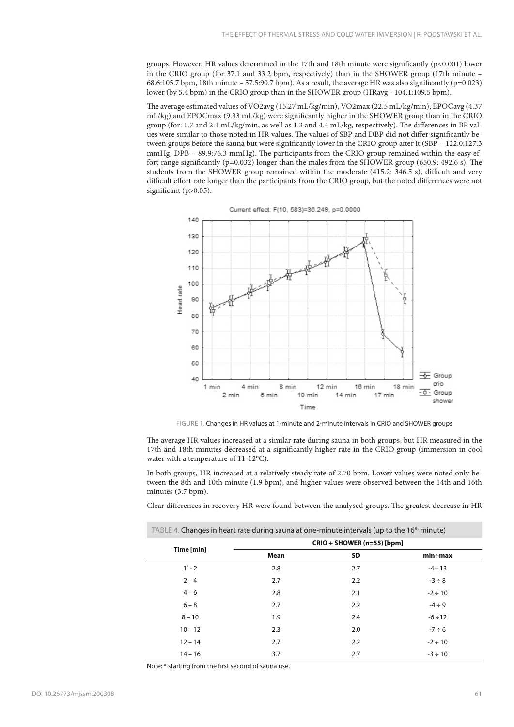groups. However, HR values determined in the 17th and 18th minute were significantly  $(p<0.001)$  lower in the CRIO group (for 37.1 and 33.2 bpm, respectively) than in the SHOWER group (17th minute – 68.6:105.7 bpm, 18th minute – 57.5:90.7 bpm). As a result, the average HR was also significantly ( $p=0.023$ ) lower (by 5.4 bpm) in the CRIO group than in the SHOWER group (HRavg - 104.1:109.5 bpm).

The average estimated values of VO2avg (15.27 mL/kg/min), VO2max (22.5 mL/kg/min), EPOCavg (4.37 mL/kg) and EPOCmax (9.33 mL/kg) were significantly higher in the SHOWER group than in the CRIO group (for: 1.7 and 2.1 mL/kg/min, as well as 1.3 and 4.4 mL/kg, respectively). The differences in BP values were similar to those noted in HR values. The values of SBP and DBP did not differ significantly between groups before the sauna but were significantly lower in the CRIO group after it (SBP – 122.0:127.3 mmHg, DPB – 89.9:76.3 mmHg). The participants from the CRIO group remained within the easy effort range significantly (p=0.032) longer than the males from the SHOWER group (650.9: 492.6 s). The students from the SHOWER group remained within the moderate (415.2: 346.5 s), difficult and very difficult effort rate longer than the participants from the CRIO group, but the noted differences were not significant (p>0.05).



FIGURE 1. Changes in HR values at 1-minute and 2-minute intervals in CRIO and SHOWER groups

The average HR values increased at a similar rate during sauna in both groups, but HR measured in the 17th and 18th minutes decreased at a significantly higher rate in the CRIO group (immersion in cool water with a temperature of 11-12°C).

In both groups, HR increased at a relatively steady rate of 2.70 bpm. Lower values were noted only between the 8th and 10th minute (1.9 bpm), and higher values were observed between the 14th and 16th minutes (3.7 bpm).

Clear differences in recovery HR were found between the analysed groups. The greatest decrease in HR

| TABLE 4. Changes in heart rate during sauna at one-minute intervals (up to the 16 <sup>th</sup> minute) |                            |           |                |  |  |  |  |  |
|---------------------------------------------------------------------------------------------------------|----------------------------|-----------|----------------|--|--|--|--|--|
| Time [min]                                                                                              | CRIO + SHOWER (n=55) [bpm] |           |                |  |  |  |  |  |
|                                                                                                         | Mean                       | <b>SD</b> | $min \div max$ |  |  |  |  |  |
| $1^* - 2$                                                                                               | 2.8                        | 2.7       | $-4 \div 13$   |  |  |  |  |  |
| $2 - 4$                                                                                                 | 2.7                        | 2.2       | $-3 \div 8$    |  |  |  |  |  |
| $4 - 6$                                                                                                 | 2.8                        | 2.1       | $-2 \div 10$   |  |  |  |  |  |
| $6 - 8$                                                                                                 | 2.7                        | 2.2       | $-4 \div 9$    |  |  |  |  |  |
| $8 - 10$                                                                                                | 1.9                        | 2.4       | $-6 \div 12$   |  |  |  |  |  |
| $10 - 12$                                                                                               | 2.3                        | 2.0       | $-7 \div 6$    |  |  |  |  |  |
| $12 - 14$                                                                                               | 2.7                        | 2.2       | $-2 \div 10$   |  |  |  |  |  |
| $14 - 16$                                                                                               | 3.7                        | 2.7       | $-3 \div 10$   |  |  |  |  |  |

Note: \* starting from the first second of sauna use.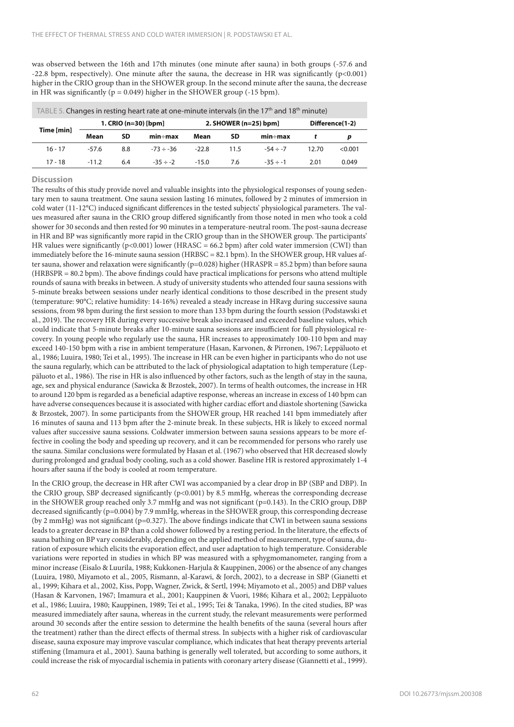was observed between the 16th and 17th minutes (one minute after sauna) in both groups (-57.6 and -22.8 bpm, respectively). One minute after the sauna, the decrease in HR was significantly (p<0.001) higher in the CRIO group than in the SHOWER group. In the second minute after the sauna, the decrease in HR was significantly ( $p = 0.049$ ) higher in the SHOWER group (-15 bpm).

| TABLE 5. Changes in resting heart rate at one-minute intervals (in the 17 <sup>th</sup> and 18 <sup>th</sup> minute) |         |                      |                |         |                         |                 |       |         |  |  |
|----------------------------------------------------------------------------------------------------------------------|---------|----------------------|----------------|---------|-------------------------|-----------------|-------|---------|--|--|
| Time [min]                                                                                                           |         | 1. CRIO (n=30) [bpm] |                |         | 2. SHOWER $(n=25)$ bpm] | Difference(1-2) |       |         |  |  |
|                                                                                                                      | Mean    | SD                   | min÷max        | Mean    | SD                      | $min \div max$  |       |         |  |  |
| $16 - 17$                                                                                                            | -57.6   | 8.8                  | $-73 \div -36$ | $-22.8$ | 11.5                    | $-54 \div -7$   | 12.70 | < 0.001 |  |  |
| $17 - 18$                                                                                                            | $-11.2$ | 6.4                  | $-35 \div -2$  | $-15.0$ | 7.6                     | $-35 \div -1$   | 2.01  | 0.049   |  |  |

#### **Discussion**

The results of this study provide novel and valuable insights into the physiological responses of young sedentary men to sauna treatment. One sauna session lasting 16 minutes, followed by 2 minutes of immersion in cold water (11-12°C) induced significant differences in the tested subjects' physiological parameters. The values measured after sauna in the CRIO group differed significantly from those noted in men who took a cold shower for 30 seconds and then rested for 90 minutes in a temperature-neutral room. The post-sauna decrease in HR and BP was significantly more rapid in the CRIO group than in the SHOWER group. The participants' HR values were significantly ( $p$ <0.001) lower (HRASC = 66.2 bpm) after cold water immersion (CWI) than immediately before the 16-minute sauna session (HRBSC = 82.1 bpm). In the SHOWER group, HR values after sauna, shower and relaxation were significantly (p=0.028) higher (HRASPR = 85.2 bpm) than before sauna (HRBSPR = 80.2 bpm). The above findings could have practical implications for persons who attend multiple rounds of sauna with breaks in between. A study of university students who attended four sauna sessions with 5-minute breaks between sessions under nearly identical conditions to those described in the present study (temperature: 90°C; relative humidity: 14-16%) revealed a steady increase in HRavg during successive sauna sessions, from 98 bpm during the first session to more than 133 bpm during the fourth session (Podstawski et al., 2019). The recovery HR during every successive break also increased and exceeded baseline values, which could indicate that 5-minute breaks after 10-minute sauna sessions are insufficient for full physiological recovery. In young people who regularly use the sauna, HR increases to approximately 100-110 bpm and may exceed 140-150 bpm with a rise in ambient temperature (Hasan, Karvonen, & Pirronen, 1967; Leppäluoto et al., 1986; Luuira, 1980; Tei et al., 1995). The increase in HR can be even higher in participants who do not use the sauna regularly, which can be attributed to the lack of physiological adaptation to high temperature (Leppäluoto et al., 1986). The rise in HR is also influenced by other factors, such as the length of stay in the sauna, age, sex and physical endurance (Sawicka & Brzostek, 2007). In terms of health outcomes, the increase in HR to around 120 bpm is regarded as a beneficial adaptive response, whereas an increase in excess of 140 bpm can have adverse consequences because it is associated with higher cardiac effort and diastole shortening (Sawicka & Brzostek, 2007). In some participants from the SHOWER group, HR reached 141 bpm immediately after 16 minutes of sauna and 113 bpm after the 2-minute break. In these subjects, HR is likely to exceed normal values after successive sauna sessions. Coldwater immersion between sauna sessions appears to be more effective in cooling the body and speeding up recovery, and it can be recommended for persons who rarely use the sauna. Similar conclusions were formulated by Hasan et al. (1967) who observed that HR decreased slowly during prolonged and gradual body cooling, such as a cold shower. Baseline HR is restored approximately 1-4 hours after sauna if the body is cooled at room temperature.

In the CRIO group, the decrease in HR after CWI was accompanied by a clear drop in BP (SBP and DBP). In the CRIO group, SBP decreased significantly (p<0.001) by 8.5 mmHg, whereas the corresponding decrease in the SHOWER group reached only 3.7 mmHg and was not significant (p=0.143). In the CRIO group, DBP decreased significantly (p=0.004) by 7.9 mmHg, whereas in the SHOWER group, this corresponding decrease (by 2 mmHg) was not significant (p=0.327). The above findings indicate that CWI in between sauna sessions leads to a greater decrease in BP than a cold shower followed by a resting period. In the literature, the effects of sauna bathing on BP vary considerably, depending on the applied method of measurement, type of sauna, duration of exposure which elicits the evaporation effect, and user adaptation to high temperature. Considerable variations were reported in studies in which BP was measured with a sphygmomanometer, ranging from a minor increase (Eisalo & Luurila, 1988; Kukkonen-Harjula & Kauppinen, 2006) or the absence of any changes (Luuira, 1980, Miyamoto et al., 2005, Rismann, al-Karawi, & Jorch, 2002), to a decrease in SBP (Gianetti et al., 1999; Kihara et al., 2002, Kiss, Popp, Wagner, Zwick, & Sertl, 1994; Miyamoto et al., 2005) and DBP values (Hasan & Karvonen, 1967; Imamura et al., 2001; Kauppinen & Vuori, 1986; Kihara et al., 2002; Leppäluoto et al., 1986; Luuira, 1980; Kauppinen, 1989; Tei et al., 1995; Tei & Tanaka, 1996). In the cited studies, BP was measured immediately after sauna, whereas in the current study, the relevant measurements were performed around 30 seconds after the entire session to determine the health benefits of the sauna (several hours after the treatment) rather than the direct effects of thermal stress. In subjects with a higher risk of cardiovascular disease, sauna exposure may improve vascular compliance, which indicates that heat therapy prevents arterial stiffening (Imamura et al., 2001). Sauna bathing is generally well tolerated, but according to some authors, it could increase the risk of myocardial ischemia in patients with coronary artery disease (Giannetti et al., 1999).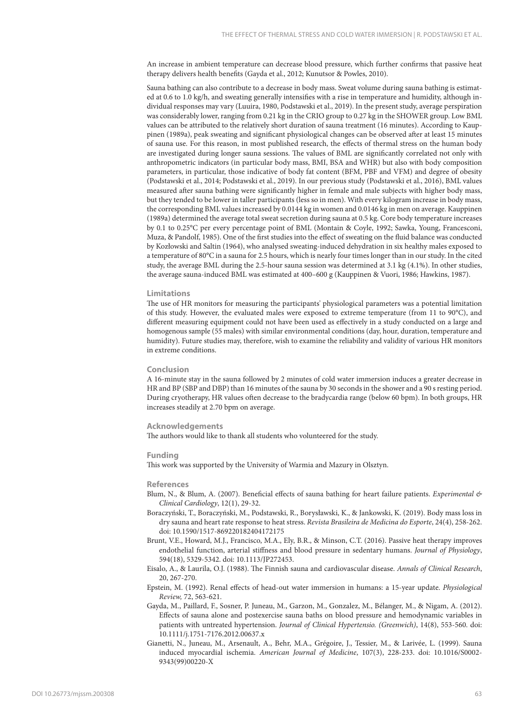An increase in ambient temperature can decrease blood pressure, which further confirms that passive heat therapy delivers health benefits (Gayda et al., 2012; Kunutsor & Powles, 2010).

Sauna bathing can also contribute to a decrease in body mass. Sweat volume during sauna bathing is estimated at 0.6 to 1.0 kg/h, and sweating generally intensifies with a rise in temperature and humidity, although individual responses may vary (Luuira, 1980, Podstawski et al., 2019). In the present study, average perspiration was considerably lower, ranging from 0.21 kg in the CRIO group to 0.27 kg in the SHOWER group. Low BML values can be attributed to the relatively short duration of sauna treatment (16 minutes). According to Kauppinen (1989a), peak sweating and significant physiological changes can be observed after at least 15 minutes of sauna use. For this reason, in most published research, the effects of thermal stress on the human body are investigated during longer sauna sessions. The values of BML are significantly correlated not only with anthropometric indicators (in particular body mass, BMI, BSA and WHR) but also with body composition parameters, in particular, those indicative of body fat content (BFM, PBF and VFM) and degree of obesity (Podstawski et al., 2014; Podstawski et al., 2019). In our previous study (Podstawski et al., 2016), BML values measured after sauna bathing were significantly higher in female and male subjects with higher body mass, but they tended to be lower in taller participants (less so in men). With every kilogram increase in body mass, the corresponding BML values increased by 0.0144 kg in women and 0.0146 kg in men on average. Kauppinen (1989a) determined the average total sweat secretion during sauna at 0.5 kg. Core body temperature increases by 0.1 to 0.25°C per every percentage point of BML (Montain & Coyle, 1992; Sawka, Young, Francesconi, Muza, & Pandolf, 1985). One of the first studies into the effect of sweating on the fluid balance was conducted by Kozłowski and Saltin (1964), who analysed sweating-induced dehydration in six healthy males exposed to a temperature of 80°C in a sauna for 2.5 hours, which is nearly four times longer than in our study. In the cited study, the average BML during the 2.5-hour sauna session was determined at 3.1 kg (4.1%). In other studies, the average sauna-induced BML was estimated at 400–600 g (Kauppinen & Vuori, 1986; Hawkins, 1987).

#### **Limitations**

The use of HR monitors for measuring the participants' physiological parameters was a potential limitation of this study. However, the evaluated males were exposed to extreme temperature (from 11 to 90°C), and different measuring equipment could not have been used as effectively in a study conducted on a large and homogenous sample (55 males) with similar environmental conditions (day, hour, duration, temperature and humidity). Future studies may, therefore, wish to examine the reliability and validity of various HR monitors in extreme conditions.

#### **Conclusion**

A 16-minute stay in the sauna followed by 2 minutes of cold water immersion induces a greater decrease in HR and BP (SBP and DBP) than 16 minutes of the sauna by 30 seconds in the shower and a 90 s resting period. During cryotherapy, HR values often decrease to the bradycardia range (below 60 bpm). In both groups, HR increases steadily at 2.70 bpm on average.

#### **Acknowledgements**

The authors would like to thank all students who volunteered for the study.

#### **Funding**

This work was supported by the University of Warmia and Mazury in Olsztyn.

#### **References**

- Blum, N., & Blum, A. (2007). Beneficial effects of sauna bathing for heart failure patients. *Experimental & Clinical Cardiology*, 12(1), 29-32.
- Boraczyński, T., Boraczyński, M., Podstawski, R., Borysławski, K., & Jankowski, K. (2019). Body mass loss in dry sauna and heart rate response to heat stress. *Revista Brasileira de Medicina do Esporte*, 24(4), 258-262. doi: 10.1590/1517-869220182404172175
- Brunt, V.E., Howard, M.J., Francisco, M.A., Ely, B.R., & Minson, C.T. (2016). Passive heat therapy improves endothelial function, arterial stiffness and blood pressure in sedentary humans. *Journal of Physiology*, 594(18), 5329-5342. doi: 10.1113/JP272453.
- Eisalo, A., & Laurila, O.J. (1988). The Finnish sauna and cardiovascular disease. *Annals of Clinical Research*, 20, 267-270.
- Epstein, M. (1992). Renal effects of head-out water immersion in humans: a 15-year update. *Physiological Review,* 72, 563-621.
- Gayda, M., Paillard, F., Sosner, P. Juneau, M., Garzon, M., Gonzalez, M., Bélanger, M., & Nigam, A. (2012). Effects of sauna alone and postexercise sauna baths on blood pressure and hemodynamic variables in patients with untreated hypertension. *Journal of Clinical Hypertensio. (Greenwich)*, 14(8), 553-560. doi: 10.1111/j.1751-7176.2012.00637.x
- Gianetti, N., Juneau, M., Arsenault, A., Behr, M.A., Grégoire, J., Tessier, M., & Larivée, L. (1999). Sauna induced myocardial ischemia. *American Journal of Medicine*, 107(3), 228-233. doi: 10.1016/S0002- 9343(99)00220-X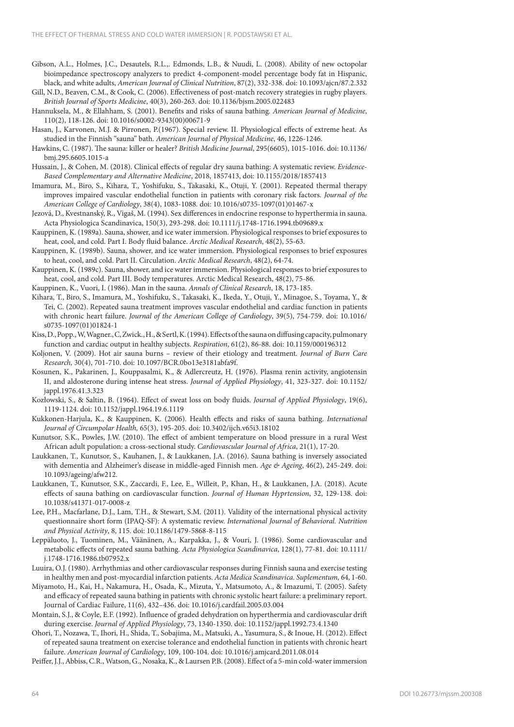- Gibson, A.L., Holmes, J.C., Desautels, R.L.,. Edmonds, L.B., & Nuudi, L. (2008). Ability of new octopolar bioimpedance spectroscopy analyzers to predict 4-component-model percentage body fat in Hispanic, black, and white adults, *American Journal of Clinical Nutrition*, 87(2), 332-338. doi: 10.1093/ajcn/87.2.332
- Gill, N.D., Beaven, C.M., & Cook, C. (2006). Effectiveness of post-match recovery strategies in rugby players. *British Journal of Sports Medicine*, 40(3), 260-263. doi: 10.1136/bjsm.2005.022483
- Hannuksela, M., & Ellahham, S. (2001). Benefits and risks of sauna bathing*. American Journal of Medicine*, 110(2), 118-126. doi: 10.1016/s0002-9343(00)00671-9
- Hasan, J., Karvonen, M.J. & Pirronen, P.(1967). Special review. II. Physiological effects of extreme heat. As studied in the Finnish "sauna" bath. *American Journal of Physical Medicine*, 46, 1226-1246.
- Hawkins, C. (1987). The sauna: killer or healer? *British Medicine Journal*, 295(6605), 1015-1016. doi: 10.1136/ bmj.295.6605.1015-a
- Hussain, J., & Cohen, M. (2018). Clinical effects of regular dry sauna bathing: A systematic review. *Evidence-Based Complementary and Alternative Medicine*, 2018, 1857413, doi: 10.1155/2018/1857413
- Imamura, M., Biro, S., Kihara, T., Yoshifuku, S., Takasaki, K., Otuji, Y. (2001). Repeated thermal therapy improves impaired vascular endothelial function in patients with coronary risk factors. *Journal of the American College of Cardiology*, 38(4), 1083-1088. doi: 10.1016/s0735-1097(01)01467-x
- Jezová, D., Kvestnanský, R., Vigaš, M. (1994). Sex differences in endocrine response to hyperthermia in sauna. Acta Physiologica Scandinavica, 150(3), 293-298. doi: 10.1111/j.1748-1716.1994.tb09689.x
- Kauppinen, K. (1989a). Sauna, shower, and ice water immersion. Physiological responses to brief exposures to heat, cool, and cold. Part I. Body fluid balance. *Arctic Medical Research*, 48(2), 55-63.
- Kauppinen, K. (1989b). Sauna, shower, and ice water immersion. Physiological responses to brief exposures to heat, cool, and cold. Part II. Circulation. *Arctic Medical Research*, 48(2), 64-74.
- Kauppinen, K. (1989c). Sauna, shower, and ice water immersion. Physiological responses to brief exposures to heat, cool, and cold. Part III. Body temperatures. Arctic Medical Research, 48(2), 75-86.

Kauppinen, K., Vuori, I. (1986). Man in the sauna. *Annals of Clinical Research*, 18, 173-185.

- Kihara, T., Biro, S., Imamura, M., Yoshifuku, S., Takasaki, K., Ikeda, Y., Otuji, Y., Minagoe, S., Toyama, Y., & Tei, C. (2002). Repeated sauna treatment improves vascular endothelial and cardiac function in patients with chronic heart failure. *Journal of the American College of Cardiology*, 39(5), 754-759. doi: 10.1016/ s0735-1097(01)01824-1
- Kiss, D., Popp., W, Wagner., C, Zwick., H., & Sertl, K. (1994). Effects of the sauna on diffusing capacity, pulmonary function and cardiac output in healthy subjects. *Respiration*, 61(2), 86-88. doi: 10.1159/000196312
- Koljonen, V. (2009). Hot air sauna burns review of their etiology and treatment. *Journal of Burn Care Research,* 30(4), 701-710. doi: 10.1097/BCR.0bo13e3181abfa9f.
- Kosunen, K., Pakarinen, J., Kouppasalmi, K., & Adlercreutz, H. (1976). Plasma renin activity, angiotensin II, and aldosterone during intense heat stress. *Journal of Applied Physiology*, 41, 323-327. doi: 10.1152/ jappl.1976.41.3.323
- Kozłowski, S., & Saltin, B. (1964). Effect of sweat loss on body fluids. *Journal of Applied Physiology*, 19(6), 1119-1124. doi: 10.1152/jappl.1964.19.6.1119
- Kukkonen-Harjula, K., & Kauppinen, K. (2006). Health effects and risks of sauna bathing. *International Journal of Circumpolar Health,* 65(3), 195-205. doi: 10.3402/ijch.v65i3.18102
- Kunutsor, S.K., Powles, J.W. (2010). The effect of ambient temperature on blood pressure in a rural West African adult population: a cross-sectional study. *Cardiovascular Journal of Africa*, 21(1), 17-20.
- Laukkanen, T., Kunutsor, S., Kauhanen, J., & Laukkanen, J.A. (2016). Sauna bathing is inversely associated with dementia and Alzheimer's disease in middle-aged Finnish men. *Age & Ageing*, 46(2), 245-249. doi: 10.1093/ageing/afw212.
- Laukkanen, T., Kunutsor, S.K., Zaccardi, F., Lee, E., Willeit, P., Khan, H., & Laukkanen, J.A. (2018). Acute effects of sauna bathing on cardiovascular function. *Journal of Human Hyprtension*, 32, 129-138. doi: 10.1038/s41371-017-0008-z
- Lee, P.H., Macfarlane, D.J., Lam, T.H., & Stewart, S.M. (2011). Validity of the international physical activity questionnaire short form (IPAQ-SF): A systematic review. *International Journal of Behavioral. Nutrition and Physical Activity*, 8, 115. doi: 10.1186/1479-5868-8-115
- Leppäluoto, J., Tuominen, M., Väänänen, A., Karpakka, J., & Vouri, J. (1986). Some cardiovascular and metabolic effects of repeated sauna bathing. *Acta Physiologica Scandinavica*, 128(1), 77-81. doi: 10.1111/ j.1748-1716.1986.tb07952.x
- Luuira, O.J. (1980). Arrhythmias and other cardiovascular responses during Finnish sauna and exercise testing in healthy men and post-myocardial infarction patients. *Acta Medica Scandinavica. Suplementum,* 64, 1-60.
- Miyamoto, H., Kai, H., Nakamura, H., Osada, K., Mizuta, Y., Matsumoto, A., & Imazumi, T. (2005). Safety and efficacy of repeated sauna bathing in patients with chronic systolic heart failure: a preliminary report. Journal of Cardiac Failure, 11(6), 432–436. doi: 10.1016/j.cardfail.2005.03.004
- Montain, S.J., & Coyle, E.F. (1992). Influence of graded dehydration on hyperthermia and cardiovascular drift during exercise. *Journal of Applied Physiology*, 73, 1340-1350. doi: 10.1152/jappl.1992.73.4.1340
- Ohori, T., Nozawa, T., Ihori, H., Shida, T., Sobajima, M., Matsuki, A., Yasumura, S., & Inoue, H. (2012). Effect of repeated sauna treatment on exercise tolerance and endothelial function in patients with chronic heart failure. *American Journal of Cardiology*, 109, 100-104. doi: 10.1016/j.amjcard.2011.08.014

Peiffer, J.J., Abbiss, C.R., Watson, G., Nosaka, K., & Laursen P.B. (2008). Effect of a 5-min cold-water immersion